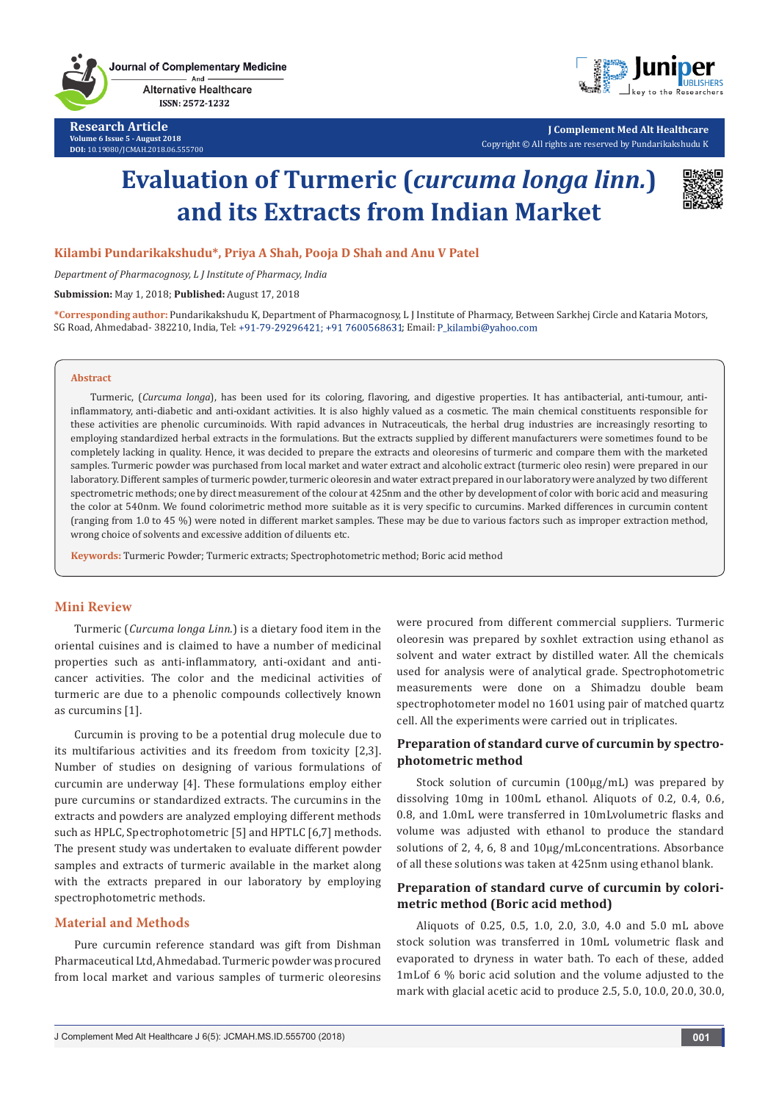

**Research Article Volume 6 Issue 5 - August 2018 DOI:** [10.19080/JCMAH.2018.06.555700](http://dx.doi.org/10.19080/JCMAH.2018.06.555700)



**J Complement Med Alt Healthcare** Copyright © All rights are reserved by Pundarikakshudu K

# **Evaluation of Turmeric (***curcuma longa linn.***) and its Extracts from Indian Market**



**Kilambi Pundarikakshudu\*, Priya A Shah, Pooja D Shah and Anu V Patel**

*Department of Pharmacognosy, L J Institute of Pharmacy, India*

**Submission:** May 1, 2018; **Published:** August 17, 2018

**\*Corresponding author:** Pundarikakshudu K, Department of Pharmacognosy, L J Institute of Pharmacy, Between Sarkhej Circle and Kataria Motors, SG Road, Ahmedabad- 382210, India, Tel: +91-79-29296421; +91 7600568631; Email: P kilambi@yahoo.com

#### **Abstract**

Turmeric, (*Curcuma longa*), has been used for its coloring, flavoring, and digestive properties. It has antibacterial, anti-tumour, antiinflammatory, anti-diabetic and anti-oxidant activities. It is also highly valued as a cosmetic. The main chemical constituents responsible for these activities are phenolic curcuminoids. With rapid advances in Nutraceuticals, the herbal drug industries are increasingly resorting to employing standardized herbal extracts in the formulations. But the extracts supplied by different manufacturers were sometimes found to be completely lacking in quality. Hence, it was decided to prepare the extracts and oleoresins of turmeric and compare them with the marketed samples. Turmeric powder was purchased from local market and water extract and alcoholic extract (turmeric oleo resin) were prepared in our laboratory. Different samples of turmeric powder, turmeric oleoresin and water extract prepared in our laboratory were analyzed by two different spectrometric methods; one by direct measurement of the colour at 425nm and the other by development of color with boric acid and measuring the color at 540nm. We found colorimetric method more suitable as it is very specific to curcumins. Marked differences in curcumin content (ranging from 1.0 to 45 %) were noted in different market samples. These may be due to various factors such as improper extraction method, wrong choice of solvents and excessive addition of diluents etc.

**Keywords:** Turmeric Powder; Turmeric extracts; Spectrophotometric method; Boric acid method

#### **Mini Review**

Turmeric (*Curcuma longa Linn.*) is a dietary food item in the oriental cuisines and is claimed to have a number of medicinal properties such as anti-inflammatory, anti-oxidant and anticancer activities. The color and the medicinal activities of turmeric are due to a phenolic compounds collectively known as curcumins [1].

Curcumin is proving to be a potential drug molecule due to its multifarious activities and its freedom from toxicity [2,3]. Number of studies on designing of various formulations of curcumin are underway [4]. These formulations employ either pure curcumins or standardized extracts. The curcumins in the extracts and powders are analyzed employing different methods such as HPLC, Spectrophotometric [5] and HPTLC [6,7] methods. The present study was undertaken to evaluate different powder samples and extracts of turmeric available in the market along with the extracts prepared in our laboratory by employing spectrophotometric methods.

### **Material and Methods**

Pure curcumin reference standard was gift from Dishman Pharmaceutical Ltd, Ahmedabad. Turmeric powder was procured from local market and various samples of turmeric oleoresins were procured from different commercial suppliers. Turmeric oleoresin was prepared by soxhlet extraction using ethanol as solvent and water extract by distilled water. All the chemicals used for analysis were of analytical grade. Spectrophotometric measurements were done on a Shimadzu double beam spectrophotometer model no 1601 using pair of matched quartz cell. All the experiments were carried out in triplicates.

## **Preparation of standard curve of curcumin by spectrophotometric method**

Stock solution of curcumin (100µg/mL) was prepared by dissolving 10mg in 100mL ethanol. Aliquots of 0.2, 0.4, 0.6, 0.8, and 1.0mL were transferred in 10mLvolumetric flasks and volume was adjusted with ethanol to produce the standard solutions of 2, 4, 6, 8 and 10µg/mLconcentrations. Absorbance of all these solutions was taken at 425nm using ethanol blank.

## **Preparation of standard curve of curcumin by colorimetric method (Boric acid method)**

Aliquots of 0.25, 0.5, 1.0, 2.0, 3.0, 4.0 and 5.0 mL above stock solution was transferred in 10mL volumetric flask and evaporated to dryness in water bath. To each of these, added 1mLof 6 % boric acid solution and the volume adjusted to the mark with glacial acetic acid to produce 2.5, 5.0, 10.0, 20.0, 30.0,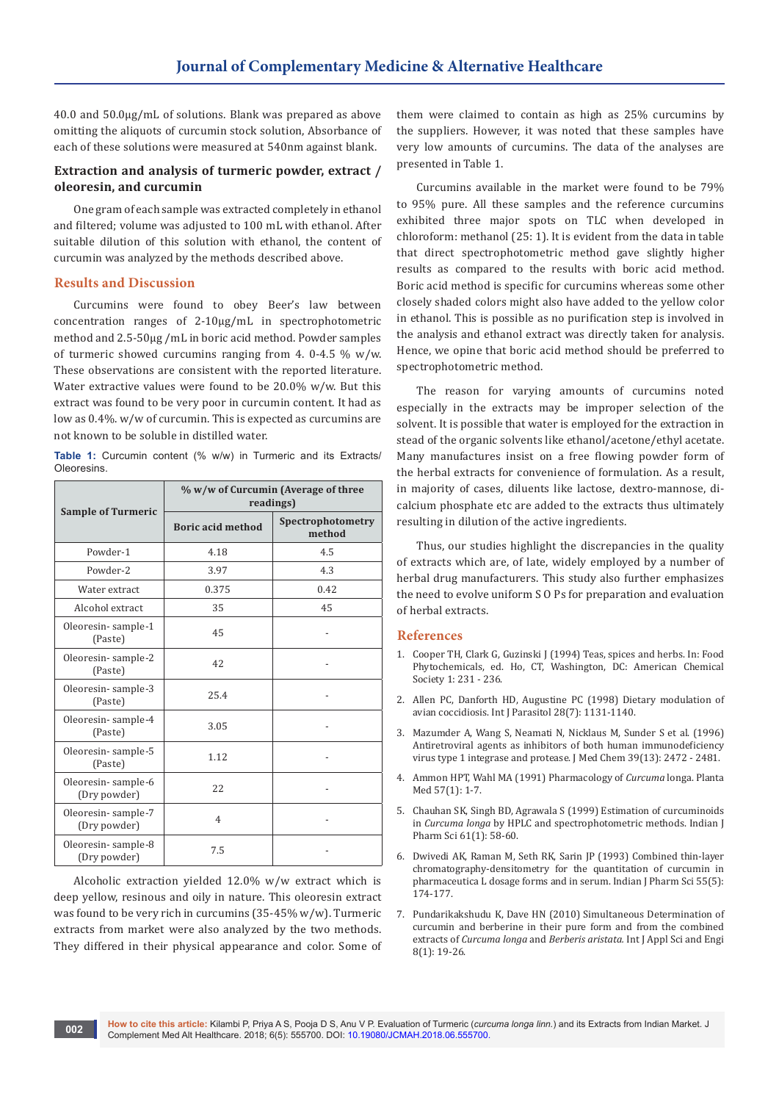40.0 and 50.0µg/mL of solutions. Blank was prepared as above omitting the aliquots of curcumin stock solution, Absorbance of each of these solutions were measured at 540nm against blank.

# **Extraction and analysis of turmeric powder, extract / oleoresin, and curcumin**

One gram of each sample was extracted completely in ethanol and filtered; volume was adjusted to 100 mL with ethanol. After suitable dilution of this solution with ethanol, the content of curcumin was analyzed by the methods described above.

#### **Results and Discussion**

Curcumins were found to obey Beer's law between concentration ranges of 2-10µg/mL in spectrophotometric method and 2.5-50µg /mL in boric acid method. Powder samples of turmeric showed curcumins ranging from 4. 0-4.5  $\%$  w/w. These observations are consistent with the reported literature. Water extractive values were found to be 20.0% w/w. But this extract was found to be very poor in curcumin content. It had as low as 0.4%. w/w of curcumin. This is expected as curcumins are not known to be soluble in distilled water.

**Table 1:** Curcumin content (% w/w) in Turmeric and its Extracts/ **Oleoresins** 

| <b>Sample of Turmeric</b>          | % w/w of Curcumin (Average of three<br>readings) |                             |
|------------------------------------|--------------------------------------------------|-----------------------------|
|                                    | <b>Boric acid method</b>                         | Spectrophotometry<br>method |
| Powder-1                           | 4.18                                             | 4.5                         |
| Powder-2                           | 3.97                                             | 4.3                         |
| Water extract                      | 0.375                                            | 0.42                        |
| Alcohol extract                    | 35                                               | 45                          |
| Oleoresin-sample-1<br>(Paste)      | 45                                               |                             |
| Oleoresin-sample-2<br>(Paste)      | 42                                               |                             |
| Oleoresin-sample-3<br>(Paste)      | 25.4                                             |                             |
| Oleoresin-sample-4<br>(Paste)      | 3.05                                             |                             |
| Oleoresin-sample-5<br>(Paste)      | 1.12                                             |                             |
| Oleoresin-sample-6<br>(Dry powder) | 22                                               |                             |
| Oleoresin-sample-7<br>(Dry powder) | $\overline{4}$                                   |                             |
| Oleoresin-sample-8<br>(Dry powder) | 7.5                                              |                             |

Alcoholic extraction yielded 12.0% w/w extract which is deep yellow, resinous and oily in nature. This oleoresin extract was found to be very rich in curcumins (35-45% w/w). Turmeric extracts from market were also analyzed by the two methods. They differed in their physical appearance and color. Some of them were claimed to contain as high as 25% curcumins by the suppliers. However, it was noted that these samples have very low amounts of curcumins. The data of the analyses are presented in Table 1.

Curcumins available in the market were found to be 79% to 95% pure. All these samples and the reference curcumins exhibited three major spots on TLC when developed in chloroform: methanol (25: 1). It is evident from the data in table that direct spectrophotometric method gave slightly higher results as compared to the results with boric acid method. Boric acid method is specific for curcumins whereas some other closely shaded colors might also have added to the yellow color in ethanol. This is possible as no purification step is involved in the analysis and ethanol extract was directly taken for analysis. Hence, we opine that boric acid method should be preferred to spectrophotometric method.

The reason for varying amounts of curcumins noted especially in the extracts may be improper selection of the solvent. It is possible that water is employed for the extraction in stead of the organic solvents like ethanol/acetone/ethyl acetate. Many manufactures insist on a free flowing powder form of the herbal extracts for convenience of formulation. As a result, in majority of cases, diluents like lactose, dextro-mannose, dicalcium phosphate etc are added to the extracts thus ultimately resulting in dilution of the active ingredients.

Thus, our studies highlight the discrepancies in the quality of extracts which are, of late, widely employed by a number of herbal drug manufacturers. This study also further emphasizes the need to evolve uniform S O Ps for preparation and evaluation of herbal extracts.

#### **References**

- 1. Cooper TH, Clark G, Guzinski J (1994) Teas, spices and herbs. In: Food Phytochemicals, ed. Ho, CT, Washington, DC: American Chemical Society 1: 231 - 236.
- 2. [Allen PC, Danforth HD, Augustine PC \(1998\) Dietary modulation of](https://www.ncbi.nlm.nih.gov/pubmed/9724884)  [avian coccidiosis. Int J Parasitol 28\(7\): 1131-1140.](https://www.ncbi.nlm.nih.gov/pubmed/9724884)
- 3. [Mazumder A, Wang S, Neamati N, Nicklaus M, Sunder S et al. \(1996\)](https://www.ncbi.nlm.nih.gov/pubmed/8691444)  [Antiretroviral agents as inhibitors of both human immunodeficiency](https://www.ncbi.nlm.nih.gov/pubmed/8691444)  [virus type 1 integrase and protease. J Med Chem 39\(13\): 2472 - 2481.](https://www.ncbi.nlm.nih.gov/pubmed/8691444)
- 4. [Ammon HPT, Wahl MA \(1991\) Pharmacology of](https://www.ncbi.nlm.nih.gov/pubmed/2062949) *Curcuma* longa. Planta [Med 57\(1\): 1-7.](https://www.ncbi.nlm.nih.gov/pubmed/2062949)
- 5. [Chauhan SK, Singh BD, Agrawala S \(1999\) Estimation of curcuminoids](http://www.ijpsonline.com/abstract/estimation-of-curcuminoids-in-curcuma-longa-by-hplc-and-spectrophotometric-methods-1358.html)  in *Curcuma longa* [by HPLC and spectrophotometric methods. Indian J](http://www.ijpsonline.com/abstract/estimation-of-curcuminoids-in-curcuma-longa-by-hplc-and-spectrophotometric-methods-1358.html)  [Pharm Sci 61\(1\): 58-60.](http://www.ijpsonline.com/abstract/estimation-of-curcuminoids-in-curcuma-longa-by-hplc-and-spectrophotometric-methods-1358.html)
- 6. [Dwivedi AK, Raman M, Seth RK, Sarin JP \(1993\) Combined thin-layer](http://www.ijpsonline.com/abstract/combined-thinlayer-chromatographydensitometry-method-for-the-quantitative-estimation-of-major-alkaloids-in-poppy-straw-s-1818.html)  [chromatography-densitometry for the quantitation of curcumin in](http://www.ijpsonline.com/abstract/combined-thinlayer-chromatographydensitometry-method-for-the-quantitative-estimation-of-major-alkaloids-in-poppy-straw-s-1818.html)  [pharmaceutica L dosage forms and in serum. Indian J Pharm Sci 55\(5\):](http://www.ijpsonline.com/abstract/combined-thinlayer-chromatographydensitometry-method-for-the-quantitative-estimation-of-major-alkaloids-in-poppy-straw-s-1818.html)  [174-177.](http://www.ijpsonline.com/abstract/combined-thinlayer-chromatographydensitometry-method-for-the-quantitative-estimation-of-major-alkaloids-in-poppy-straw-s-1818.html)
- 7. [Pundarikakshudu K, Dave HN \(2010\) Simultaneous Determination of](https://www.cyut.edu.tw/~ijase/2010/8(1)/3_017004.pdf)  [curcumin and berberine in their pure form and from the combined](https://www.cyut.edu.tw/~ijase/2010/8(1)/3_017004.pdf)  extracts of *Curcuma longa* and *Berberis aristata.* Int J Appl Sci and Engi [8\(1\): 19-26.](https://www.cyut.edu.tw/~ijase/2010/8(1)/3_017004.pdf)